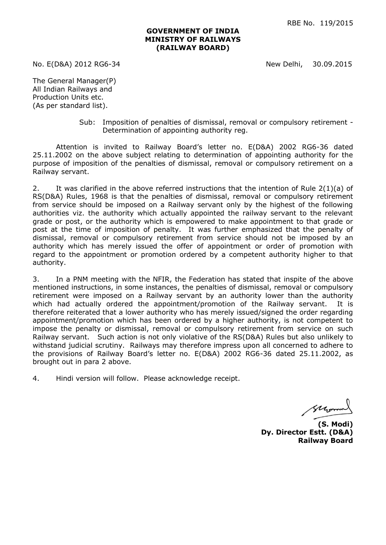## **GOVERNMENT OF INDIA MINISTRY OF RAILWAYS (RAILWAY BOARD)**

No. E(D&A) 2012 RG6-34 New Delhi, 30.09.2015

The General Manager(P) All Indian Railways and Production Units etc. (As per standard list).

> Sub: Imposition of penalties of dismissal, removal or compulsory retirement - Determination of appointing authority reg.

Attention is invited to Railway Board's letter no. E(D&A) 2002 RG6-36 dated 25.11.2002 on the above subject relating to determination of appointing authority for the purpose of imposition of the penalties of dismissal, removal or compulsory retirement on a Railway servant.

2. It was clarified in the above referred instructions that the intention of Rule 2(1)(a) of RS(D&A) Rules, 1968 is that the penalties of dismissal, removal or compulsory retirement from service should be imposed on a Railway servant only by the highest of the following authorities viz. the authority which actually appointed the railway servant to the relevant grade or post, or the authority which is empowered to make appointment to that grade or post at the time of imposition of penalty. It was further emphasized that the penalty of dismissal, removal or compulsory retirement from service should not be imposed by an authority which has merely issued the offer of appointment or order of promotion with regard to the appointment or promotion ordered by a competent authority higher to that authority.

3. In a PNM meeting with the NFIR, the Federation has stated that inspite of the above mentioned instructions, in some instances, the penalties of dismissal, removal or compulsory retirement were imposed on a Railway servant by an authority lower than the authority which had actually ordered the appointment/promotion of the Railway servant. It is therefore reiterated that a lower authority who has merely issued/signed the order regarding appointment/promotion which has been ordered by a higher authority, is not competent to impose the penalty or dismissal, removal or compulsory retirement from service on such Railway servant. Such action is not only violative of the RS(D&A) Rules but also unlikely to withstand judicial scrutiny. Railways may therefore impress upon all concerned to adhere to the provisions of Railway Board's letter no. E(D&A) 2002 RG6-36 dated 25.11.2002, as brought out in para 2 above.

4. Hindi version will follow. Please acknowledge receipt.

Mor

**(S. Modi) Dy. Director Estt. (D&A) Railway Board**